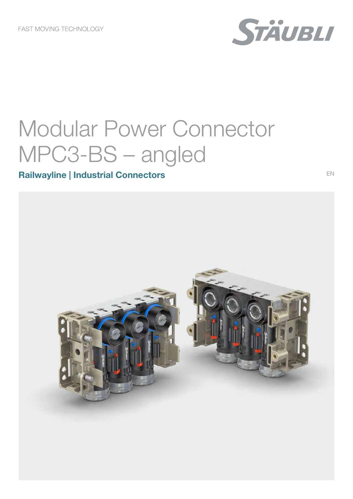

EN

# Modular Power Connector MPC3-BS - angled

## **Railwayline | Industrial Connectors**

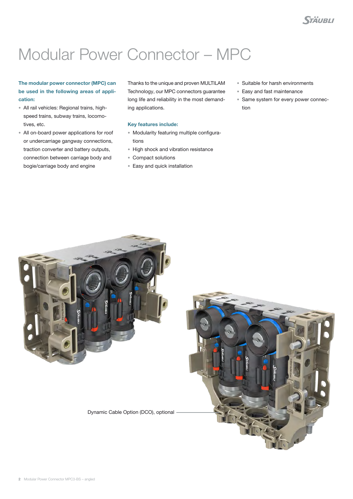# Modular Power Connector – MPC

### The modular power connector (MPC) can be used in the following areas of application:

- All rail vehicles: Regional trains, highspeed trains, subway trains, locomotives, etc.
- All on-board power applications for roof or undercarriage gangway connections, traction converter and battery outputs, connection between carriage body and bogie/carriage body and engine

Thanks to the unique and proven MULTILAM Technology, our MPC connectors guarantee long life and reliability in the most demanding applications.

- Key features include:
- Modularity featuring multiple configurations
- High shock and vibration resistance
- Compact solutions
- Easy and quick installation
- Suitable for harsh environments
- Easy and fast maintenance
- Same system for every power connection



Dynamic Cable Option (DCO), optional

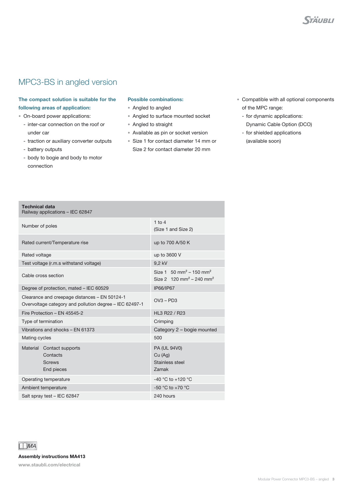### MPC3-BS in angled version

#### The compact solution is suitable for the following areas of application:

- On-board power applications:
	- inter-car connection on the roof or under car
	- traction or auxiliary converter outputs
	- battery outputs

Technical data

- body to bogie and body to motor connection

#### Possible combinations:

- Angled to angled
- Angled to surface mounted socket
- Angled to straight
- Available as pin or socket version
- Size 1 for contact diameter 14 mm or Size 2 for contact diameter 20 mm
- Compatible with all optional components of the MPC range:
	- for dynamic applications: Dynamic Cable Option (DCO)
	- for shielded applications (available soon)

| Railway applications - IEC 62847                                                                         |                                                                                                 |
|----------------------------------------------------------------------------------------------------------|-------------------------------------------------------------------------------------------------|
| Number of poles                                                                                          | $1$ to $4$<br>(Size 1 and Size 2)                                                               |
| Rated current/Temperature rise                                                                           | up to 700 A/50 K                                                                                |
| Rated voltage                                                                                            | up to 3600 V                                                                                    |
| Test voltage (r.m.s withstand voltage)                                                                   | 9,2 kV                                                                                          |
| Cable cross section                                                                                      | Size 1 $50 \text{ mm}^2 - 150 \text{ mm}^2$<br>Size 2 120 mm <sup>2</sup> – 240 mm <sup>2</sup> |
| Degree of protection, mated - IEC 60529                                                                  | IP66/IP67                                                                                       |
| Clearance and creepage distances - EN 50124-1<br>Overvoltage category and pollution degree - IEC 62497-1 | $OVA - PD3$                                                                                     |
| Fire Protection - EN 45545-2                                                                             | HL3 R22 / R23                                                                                   |
| Type of termination                                                                                      | Crimping                                                                                        |
| Vibrations and shocks - EN 61373                                                                         | Category 2 - bogie mounted                                                                      |
| Mating cycles                                                                                            | 500                                                                                             |
| Material Contact supports<br>Contacts<br><b>Screws</b><br>End pieces                                     | PA (UL 94V0)<br>Cu(Aq)<br>Stainless steel<br>Zamak                                              |
| Operating temperature                                                                                    | -40 °C to +120 °C                                                                               |
| Ambient temperature                                                                                      | $-50$ °C to $+70$ °C                                                                            |
| Salt spray test - IEC 62847                                                                              | 240 hours                                                                                       |



Assembly instructions MA413

www.staubli.com/electrical